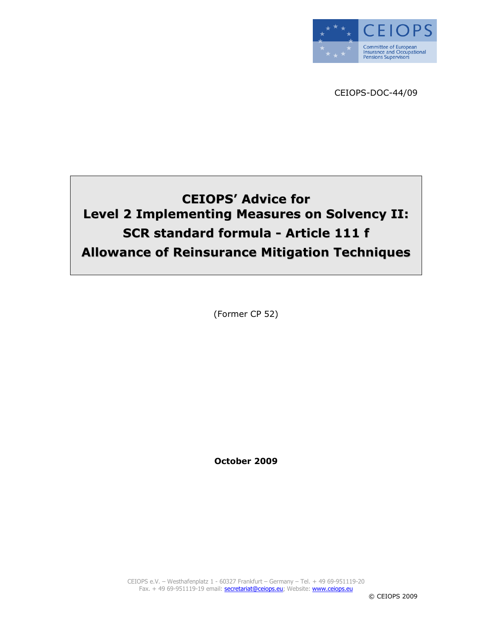

CEIOPS-DOC-44/09

# CEIOPS' Advice for Level 2 Implementing Measures on Solvency II: SCR standard formula - Article 111 f Allowance of Reinsurance Mitigation Techniques

(Former CP 52)

October 2009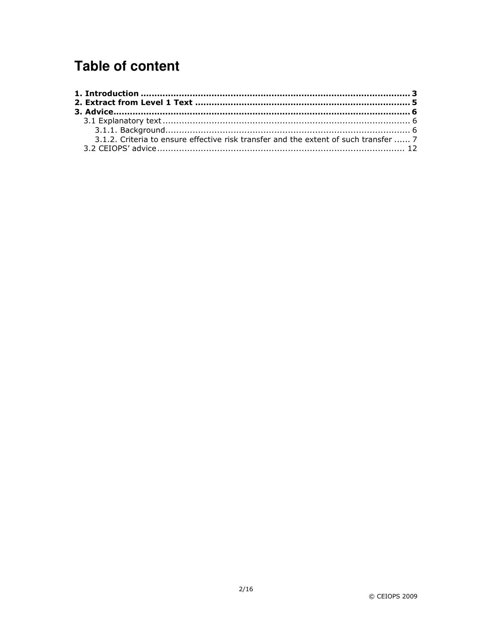# **Table of content**

| 3.1.2. Criteria to ensure effective risk transfer and the extent of such transfer  7 |  |
|--------------------------------------------------------------------------------------|--|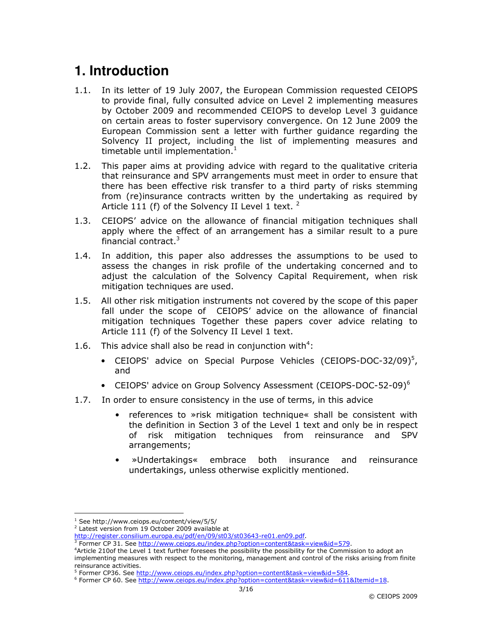# **1. Introduction**

- 1.1. In its letter of 19 July 2007, the European Commission requested CEIOPS to provide final, fully consulted advice on Level 2 implementing measures by October 2009 and recommended CEIOPS to develop Level 3 guidance on certain areas to foster supervisory convergence. On 12 June 2009 the European Commission sent a letter with further guidance regarding the Solvency II project, including the list of implementing measures and timetable until implementation. $<sup>1</sup>$ </sup>
- 1.2. This paper aims at providing advice with regard to the qualitative criteria that reinsurance and SPV arrangements must meet in order to ensure that there has been effective risk transfer to a third party of risks stemming from (re)insurance contracts written by the undertaking as required by Article 111 (f) of the Solvency II Level 1 text.  $2$
- 1.3. CEIOPS' advice on the allowance of financial mitigation techniques shall apply where the effect of an arrangement has a similar result to a pure financial contract.<sup>3</sup>
- 1.4. In addition, this paper also addresses the assumptions to be used to assess the changes in risk profile of the undertaking concerned and to adjust the calculation of the Solvency Capital Requirement, when risk mitigation techniques are used.
- 1.5. All other risk mitigation instruments not covered by the scope of this paper fall under the scope of CEIOPS' advice on the allowance of financial mitigation techniques Together these papers cover advice relating to Article 111 (f) of the Solvency II Level 1 text.
- 1.6. This advice shall also be read in conjunction with<sup>4</sup>:
	- CEIOPS' advice on Special Purpose Vehicles (CEIOPS-DOC-32/09)<sup>5</sup>, and
	- CEIOPS' advice on Group Solvency Assessment (CEIOPS-DOC-52-09)<sup>6</sup>
- 1.7. In order to ensure consistency in the use of terms, in this advice
	- references to »risk mitigation technique« shall be consistent with the definition in Section 3 of the Level 1 text and only be in respect of risk mitigation techniques from reinsurance and SPV arrangements;
	- »Undertakings« embrace both insurance and reinsurance undertakings, unless otherwise explicitly mentioned.

 $\overline{a}$ 

<sup>1</sup> See http://www.ceiops.eu/content/view/5/5/

<sup>&</sup>lt;sup>2</sup> Latest version from 19 October 2009 available at

http://register.consilium.europa.eu/pdf/en/09/st03/st03643-re01.en09.pdf.

<sup>&</sup>lt;sup>3</sup> Former CP 31. See http://www.ceiops.eu/index.php?option=content&task=view&id=579.

<sup>4</sup>Article 210of the Level 1 text further foresees the possibility the possibility for the Commission to adopt an implementing measures with respect to the monitoring, management and control of the risks arising from finite reinsurance activities.

<sup>&</sup>lt;sup>5</sup> Former CP36. See http://www.ceiops.eu/index.php?option=content&task=view&id=584.

<sup>6</sup> Former CP 60. See http://www.ceiops.eu/index.php?option=content&task=view&id=611&Itemid=18.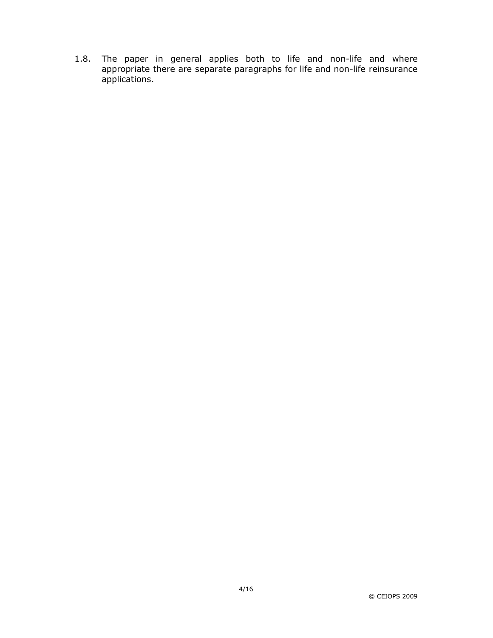1.8. The paper in general applies both to life and non-life and where appropriate there are separate paragraphs for life and non-life reinsurance applications.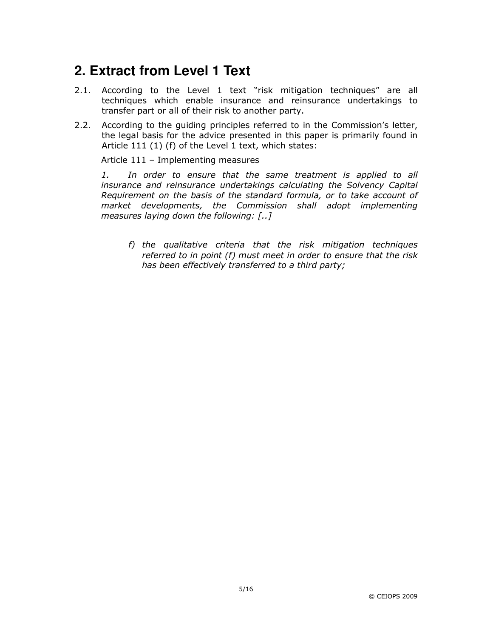# **2. Extract from Level 1 Text**

- 2.1. According to the Level 1 text "risk mitigation techniques" are all techniques which enable insurance and reinsurance undertakings to transfer part or all of their risk to another party.
- 2.2. According to the guiding principles referred to in the Commission's letter, the legal basis for the advice presented in this paper is primarily found in Article 111 (1) (f) of the Level 1 text, which states:

Article 111 – Implementing measures

1. In order to ensure that the same treatment is applied to all insurance and reinsurance undertakings calculating the Solvency Capital Requirement on the basis of the standard formula, or to take account of market developments, the Commission shall adopt implementing measures laying down the following: [..]

f) the qualitative criteria that the risk mitigation techniques referred to in point (f) must meet in order to ensure that the risk has been effectively transferred to a third party;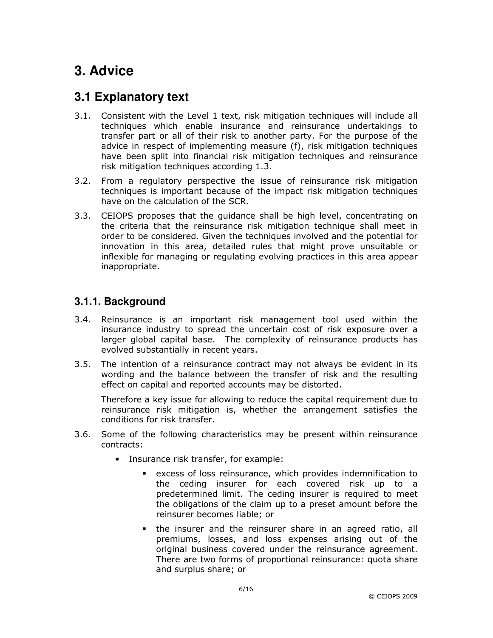# **3. Advice**

### **3.1 Explanatory text**

- 3.1. Consistent with the Level 1 text, risk mitigation techniques will include all techniques which enable insurance and reinsurance undertakings to transfer part or all of their risk to another party. For the purpose of the advice in respect of implementing measure (f), risk mitigation techniques have been split into financial risk mitigation techniques and reinsurance risk mitigation techniques according 1.3.
- 3.2. From a regulatory perspective the issue of reinsurance risk mitigation techniques is important because of the impact risk mitigation techniques have on the calculation of the SCR.
- 3.3. CEIOPS proposes that the guidance shall be high level, concentrating on the criteria that the reinsurance risk mitigation technique shall meet in order to be considered. Given the techniques involved and the potential for innovation in this area, detailed rules that might prove unsuitable or inflexible for managing or regulating evolving practices in this area appear inappropriate.

### **3.1.1. Background**

- 3.4. Reinsurance is an important risk management tool used within the insurance industry to spread the uncertain cost of risk exposure over a larger global capital base. The complexity of reinsurance products has evolved substantially in recent years.
- 3.5. The intention of a reinsurance contract may not always be evident in its wording and the balance between the transfer of risk and the resulting effect on capital and reported accounts may be distorted.

Therefore a key issue for allowing to reduce the capital requirement due to reinsurance risk mitigation is, whether the arrangement satisfies the conditions for risk transfer.

- 3.6. Some of the following characteristics may be present within reinsurance contracts:
	- Insurance risk transfer, for example:
		- excess of loss reinsurance, which provides indemnification to the ceding insurer for each covered risk up to a predetermined limit. The ceding insurer is required to meet the obligations of the claim up to a preset amount before the reinsurer becomes liable; or
		- the insurer and the reinsurer share in an agreed ratio, all premiums, losses, and loss expenses arising out of the original business covered under the reinsurance agreement. There are two forms of proportional reinsurance: quota share and surplus share; or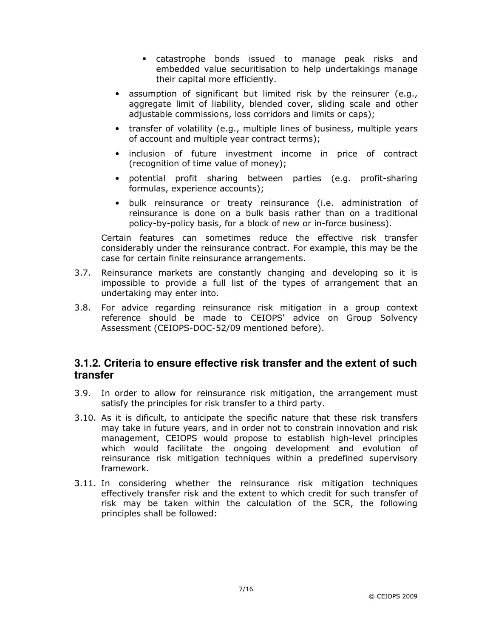- catastrophe bonds issued to manage peak risks and embedded value securitisation to help undertakings manage their capital more efficiently.
- assumption of significant but limited risk by the reinsurer (e.g., aggregate limit of liability, blended cover, sliding scale and other adjustable commissions, loss corridors and limits or caps);
- transfer of volatility (e.g., multiple lines of business, multiple years of account and multiple year contract terms);
- inclusion of future investment income in price of contract (recognition of time value of money);
- potential profit sharing between parties (e.g. profit-sharing formulas, experience accounts);
- bulk reinsurance or treaty reinsurance (i.e. administration of reinsurance is done on a bulk basis rather than on a traditional policy-by-policy basis, for a block of new or in-force business).

Certain features can sometimes reduce the effective risk transfer considerably under the reinsurance contract. For example, this may be the case for certain finite reinsurance arrangements.

- 3.7. Reinsurance markets are constantly changing and developing so it is impossible to provide a full list of the types of arrangement that an undertaking may enter into.
- 3.8. For advice regarding reinsurance risk mitigation in a group context reference should be made to CEIOPS' advice on Group Solvency Assessment (CEIOPS-DOC-52/09 mentioned before).

### **3.1.2. Criteria to ensure effective risk transfer and the extent of such transfer**

- 3.9. In order to allow for reinsurance risk mitigation, the arrangement must satisfy the principles for risk transfer to a third party.
- 3.10. As it is dificult, to anticipate the specific nature that these risk transfers may take in future years, and in order not to constrain innovation and risk management, CEIOPS would propose to establish high-level principles which would facilitate the ongoing development and evolution of reinsurance risk mitigation techniques within a predefined supervisory framework.
- 3.11. In considering whether the reinsurance risk mitigation techniques effectively transfer risk and the extent to which credit for such transfer of risk may be taken within the calculation of the SCR, the following principles shall be followed: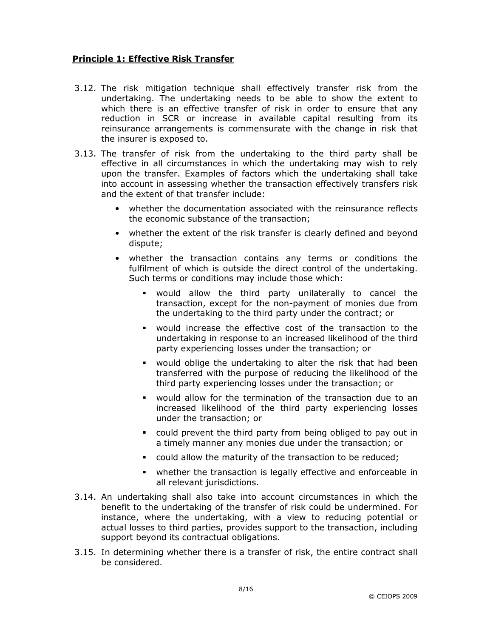#### Principle 1: Effective Risk Transfer

- 3.12. The risk mitigation technique shall effectively transfer risk from the undertaking. The undertaking needs to be able to show the extent to which there is an effective transfer of risk in order to ensure that any reduction in SCR or increase in available capital resulting from its reinsurance arrangements is commensurate with the change in risk that the insurer is exposed to.
- 3.13. The transfer of risk from the undertaking to the third party shall be effective in all circumstances in which the undertaking may wish to rely upon the transfer. Examples of factors which the undertaking shall take into account in assessing whether the transaction effectively transfers risk and the extent of that transfer include:
	- whether the documentation associated with the reinsurance reflects the economic substance of the transaction;
	- whether the extent of the risk transfer is clearly defined and beyond dispute;
	- whether the transaction contains any terms or conditions the fulfilment of which is outside the direct control of the undertaking. Such terms or conditions may include those which:
		- would allow the third party unilaterally to cancel the transaction, except for the non-payment of monies due from the undertaking to the third party under the contract; or
		- would increase the effective cost of the transaction to the undertaking in response to an increased likelihood of the third party experiencing losses under the transaction; or
		- would oblige the undertaking to alter the risk that had been transferred with the purpose of reducing the likelihood of the third party experiencing losses under the transaction; or
		- would allow for the termination of the transaction due to an increased likelihood of the third party experiencing losses under the transaction; or
		- could prevent the third party from being obliged to pay out in a timely manner any monies due under the transaction; or
		- could allow the maturity of the transaction to be reduced;
		- whether the transaction is legally effective and enforceable in all relevant jurisdictions.
- 3.14. An undertaking shall also take into account circumstances in which the benefit to the undertaking of the transfer of risk could be undermined. For instance, where the undertaking, with a view to reducing potential or actual losses to third parties, provides support to the transaction, including support beyond its contractual obligations.
- 3.15. In determining whether there is a transfer of risk, the entire contract shall be considered.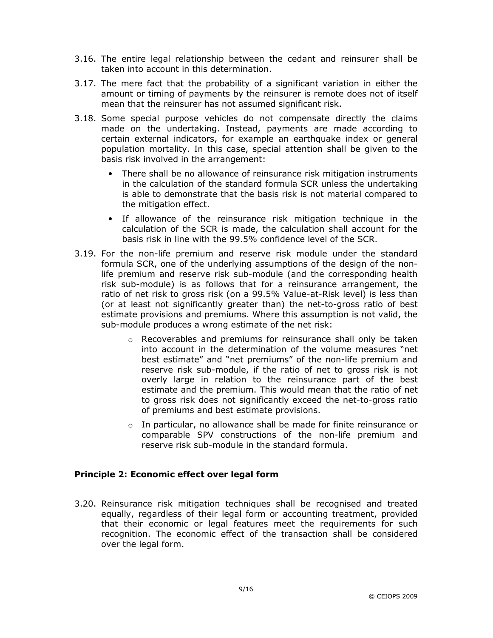- 3.16. The entire legal relationship between the cedant and reinsurer shall be taken into account in this determination.
- 3.17. The mere fact that the probability of a significant variation in either the amount or timing of payments by the reinsurer is remote does not of itself mean that the reinsurer has not assumed significant risk.
- 3.18. Some special purpose vehicles do not compensate directly the claims made on the undertaking. Instead, payments are made according to certain external indicators, for example an earthquake index or general population mortality. In this case, special attention shall be given to the basis risk involved in the arrangement:
	- There shall be no allowance of reinsurance risk mitigation instruments in the calculation of the standard formula SCR unless the undertaking is able to demonstrate that the basis risk is not material compared to the mitigation effect.
	- If allowance of the reinsurance risk mitigation technique in the calculation of the SCR is made, the calculation shall account for the basis risk in line with the 99.5% confidence level of the SCR.
- 3.19. For the non-life premium and reserve risk module under the standard formula SCR, one of the underlying assumptions of the design of the nonlife premium and reserve risk sub-module (and the corresponding health risk sub-module) is as follows that for a reinsurance arrangement, the ratio of net risk to gross risk (on a 99.5% Value-at-Risk level) is less than (or at least not significantly greater than) the net-to-gross ratio of best estimate provisions and premiums. Where this assumption is not valid, the sub-module produces a wrong estimate of the net risk:
	- o Recoverables and premiums for reinsurance shall only be taken into account in the determination of the volume measures "net best estimate" and "net premiums" of the non-life premium and reserve risk sub-module, if the ratio of net to gross risk is not overly large in relation to the reinsurance part of the best estimate and the premium. This would mean that the ratio of net to gross risk does not significantly exceed the net-to-gross ratio of premiums and best estimate provisions.
	- o In particular, no allowance shall be made for finite reinsurance or comparable SPV constructions of the non-life premium and reserve risk sub-module in the standard formula.

#### Principle 2: Economic effect over legal form

3.20. Reinsurance risk mitigation techniques shall be recognised and treated equally, regardless of their legal form or accounting treatment, provided that their economic or legal features meet the requirements for such recognition. The economic effect of the transaction shall be considered over the legal form.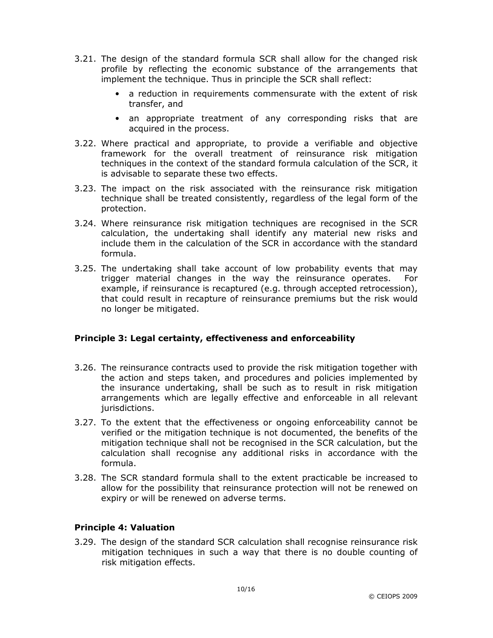- 3.21. The design of the standard formula SCR shall allow for the changed risk profile by reflecting the economic substance of the arrangements that implement the technique. Thus in principle the SCR shall reflect:
	- a reduction in requirements commensurate with the extent of risk transfer, and
	- an appropriate treatment of any corresponding risks that are acquired in the process.
- 3.22. Where practical and appropriate, to provide a verifiable and objective framework for the overall treatment of reinsurance risk mitigation techniques in the context of the standard formula calculation of the SCR, it is advisable to separate these two effects.
- 3.23. The impact on the risk associated with the reinsurance risk mitigation technique shall be treated consistently, regardless of the legal form of the protection.
- 3.24. Where reinsurance risk mitigation techniques are recognised in the SCR calculation, the undertaking shall identify any material new risks and include them in the calculation of the SCR in accordance with the standard formula.
- 3.25. The undertaking shall take account of low probability events that may trigger material changes in the way the reinsurance operates. For example, if reinsurance is recaptured (e.g. through accepted retrocession), that could result in recapture of reinsurance premiums but the risk would no longer be mitigated.

#### Principle 3: Legal certainty, effectiveness and enforceability

- 3.26. The reinsurance contracts used to provide the risk mitigation together with the action and steps taken, and procedures and policies implemented by the insurance undertaking, shall be such as to result in risk mitigation arrangements which are legally effective and enforceable in all relevant jurisdictions.
- 3.27. To the extent that the effectiveness or ongoing enforceability cannot be verified or the mitigation technique is not documented, the benefits of the mitigation technique shall not be recognised in the SCR calculation, but the calculation shall recognise any additional risks in accordance with the formula.
- 3.28. The SCR standard formula shall to the extent practicable be increased to allow for the possibility that reinsurance protection will not be renewed on expiry or will be renewed on adverse terms.

#### Principle 4: Valuation

3.29. The design of the standard SCR calculation shall recognise reinsurance risk mitigation techniques in such a way that there is no double counting of risk mitigation effects.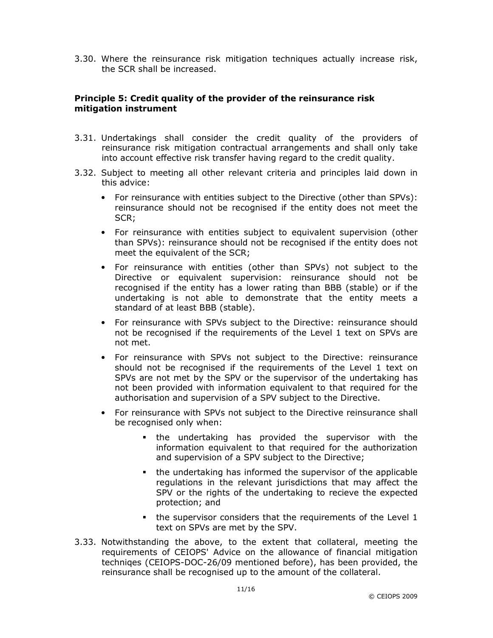3.30. Where the reinsurance risk mitigation techniques actually increase risk, the SCR shall be increased.

#### Principle 5: Credit quality of the provider of the reinsurance risk mitigation instrument

- 3.31. Undertakings shall consider the credit quality of the providers of reinsurance risk mitigation contractual arrangements and shall only take into account effective risk transfer having regard to the credit quality.
- 3.32. Subject to meeting all other relevant criteria and principles laid down in this advice:
	- For reinsurance with entities subject to the Directive (other than SPVs): reinsurance should not be recognised if the entity does not meet the SCR;
	- For reinsurance with entities subject to equivalent supervision (other than SPVs): reinsurance should not be recognised if the entity does not meet the equivalent of the SCR;
	- For reinsurance with entities (other than SPVs) not subject to the Directive or equivalent supervision: reinsurance should not be recognised if the entity has a lower rating than BBB (stable) or if the undertaking is not able to demonstrate that the entity meets a standard of at least BBB (stable).
	- For reinsurance with SPVs subject to the Directive: reinsurance should not be recognised if the requirements of the Level 1 text on SPVs are not met.
	- For reinsurance with SPVs not subject to the Directive: reinsurance should not be recognised if the requirements of the Level 1 text on SPVs are not met by the SPV or the supervisor of the undertaking has not been provided with information equivalent to that required for the authorisation and supervision of a SPV subject to the Directive.
	- For reinsurance with SPVs not subject to the Directive reinsurance shall be recognised only when:
		- the undertaking has provided the supervisor with the information equivalent to that required for the authorization and supervision of a SPV subject to the Directive;
		- the undertaking has informed the supervisor of the applicable regulations in the relevant jurisdictions that may affect the SPV or the rights of the undertaking to recieve the expected protection; and
		- the supervisor considers that the requirements of the Level 1 text on SPVs are met by the SPV.
- 3.33. Notwithstanding the above, to the extent that collateral, meeting the requirements of CEIOPS' Advice on the allowance of financial mitigation techniqes (CEIOPS-DOC-26/09 mentioned before), has been provided, the reinsurance shall be recognised up to the amount of the collateral.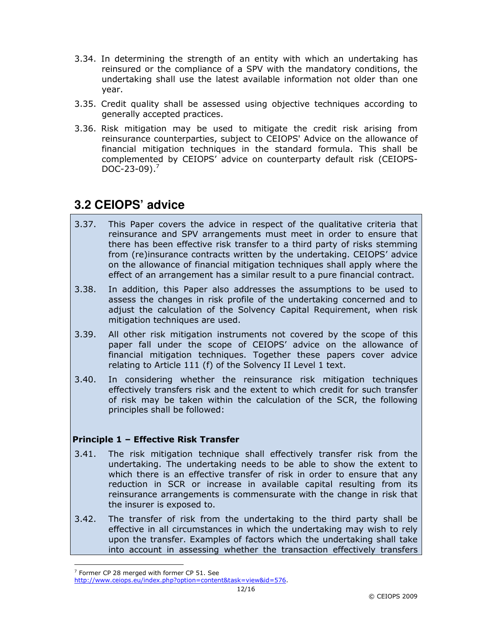- 3.34. In determining the strength of an entity with which an undertaking has reinsured or the compliance of a SPV with the mandatory conditions, the undertaking shall use the latest available information not older than one year.
- 3.35. Credit quality shall be assessed using objective techniques according to generally accepted practices.
- 3.36. Risk mitigation may be used to mitigate the credit risk arising from reinsurance counterparties, subject to CEIOPS' Advice on the allowance of financial mitigation techniques in the standard formula. This shall be complemented by CEIOPS' advice on counterparty default risk (CEIOPS- $DOC-23-09$ ).<sup>7</sup>

### **3.2 CEIOPS' advice**

- 3.37. This Paper covers the advice in respect of the qualitative criteria that reinsurance and SPV arrangements must meet in order to ensure that there has been effective risk transfer to a third party of risks stemming from (re)insurance contracts written by the undertaking. CEIOPS' advice on the allowance of financial mitigation techniques shall apply where the effect of an arrangement has a similar result to a pure financial contract.
- 3.38. In addition, this Paper also addresses the assumptions to be used to assess the changes in risk profile of the undertaking concerned and to adjust the calculation of the Solvency Capital Requirement, when risk mitigation techniques are used.
- 3.39. All other risk mitigation instruments not covered by the scope of this paper fall under the scope of CEIOPS' advice on the allowance of financial mitigation techniques. Together these papers cover advice relating to Article 111 (f) of the Solvency II Level 1 text.
- 3.40. In considering whether the reinsurance risk mitigation techniques effectively transfers risk and the extent to which credit for such transfer of risk may be taken within the calculation of the SCR, the following principles shall be followed:

#### Principle 1 – Effective Risk Transfer

- 3.41. The risk mitigation technique shall effectively transfer risk from the undertaking. The undertaking needs to be able to show the extent to which there is an effective transfer of risk in order to ensure that any reduction in SCR or increase in available capital resulting from its reinsurance arrangements is commensurate with the change in risk that the insurer is exposed to.
- 3.42. The transfer of risk from the undertaking to the third party shall be effective in all circumstances in which the undertaking may wish to rely upon the transfer. Examples of factors which the undertaking shall take into account in assessing whether the transaction effectively transfers

 $\overline{a}$ 

 $7$  Former CP 28 merged with former CP 51. See

http://www.ceiops.eu/index.php?option=content&task=view&id=576.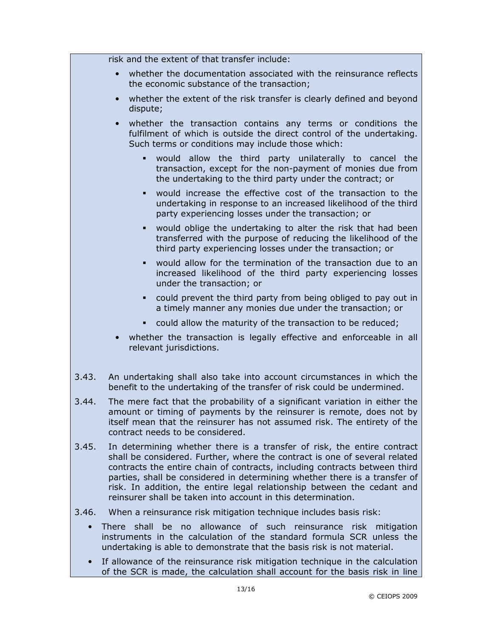|       | risk and the extent of that transfer include:                                                                                                                                                                                                                                                                                                                                                                                                                |
|-------|--------------------------------------------------------------------------------------------------------------------------------------------------------------------------------------------------------------------------------------------------------------------------------------------------------------------------------------------------------------------------------------------------------------------------------------------------------------|
|       | whether the documentation associated with the reinsurance reflects<br>$\bullet$<br>the economic substance of the transaction;                                                                                                                                                                                                                                                                                                                                |
|       | whether the extent of the risk transfer is clearly defined and beyond<br>dispute;                                                                                                                                                                                                                                                                                                                                                                            |
|       | whether the transaction contains any terms or conditions the<br>fulfilment of which is outside the direct control of the undertaking.<br>Such terms or conditions may include those which:                                                                                                                                                                                                                                                                   |
|       | would<br>allow the third party unilaterally to cancel the<br>٠<br>transaction, except for the non-payment of monies due from<br>the undertaking to the third party under the contract; or                                                                                                                                                                                                                                                                    |
|       | would increase the effective cost of the transaction to the<br>٠<br>undertaking in response to an increased likelihood of the third<br>party experiencing losses under the transaction; or                                                                                                                                                                                                                                                                   |
|       | would oblige the undertaking to alter the risk that had been<br>٠<br>transferred with the purpose of reducing the likelihood of the<br>third party experiencing losses under the transaction; or                                                                                                                                                                                                                                                             |
|       | would allow for the termination of the transaction due to an<br>increased likelihood of the third party experiencing losses<br>under the transaction; or                                                                                                                                                                                                                                                                                                     |
|       | could prevent the third party from being obliged to pay out in<br>a timely manner any monies due under the transaction; or                                                                                                                                                                                                                                                                                                                                   |
|       | could allow the maturity of the transaction to be reduced;                                                                                                                                                                                                                                                                                                                                                                                                   |
|       | whether the transaction is legally effective and enforceable in all<br>relevant jurisdictions.                                                                                                                                                                                                                                                                                                                                                               |
| 3.43. | An undertaking shall also take into account circumstances in which the<br>benefit to the undertaking of the transfer of risk could be undermined.                                                                                                                                                                                                                                                                                                            |
| 3.44. | The mere fact that the probability of a significant variation in either the<br>amount or timing of payments by the reinsurer is remote, does not by<br>itself mean that the reinsurer has not assumed risk. The entirety of the<br>contract needs to be considered.                                                                                                                                                                                          |
| 3.45. | In determining whether there is a transfer of risk, the entire contract<br>shall be considered. Further, where the contract is one of several related<br>contracts the entire chain of contracts, including contracts between third<br>parties, shall be considered in determining whether there is a transfer of<br>risk. In addition, the entire legal relationship between the cedant and<br>reinsurer shall be taken into account in this determination. |
| 3.46. | When a reinsurance risk mitigation technique includes basis risk:                                                                                                                                                                                                                                                                                                                                                                                            |

- There shall be no allowance of such reinsurance risk mitigation instruments in the calculation of the standard formula SCR unless the undertaking is able to demonstrate that the basis risk is not material.
- If allowance of the reinsurance risk mitigation technique in the calculation of the SCR is made, the calculation shall account for the basis risk in line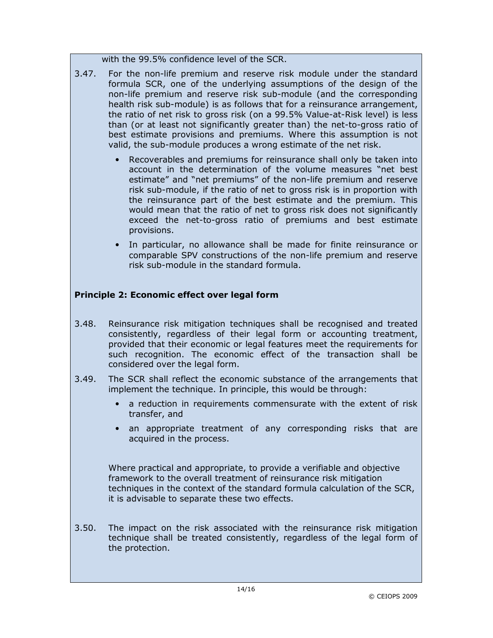with the 99.5% confidence level of the SCR.

- 3.47. For the non-life premium and reserve risk module under the standard formula SCR, one of the underlying assumptions of the design of the non-life premium and reserve risk sub-module (and the corresponding health risk sub-module) is as follows that for a reinsurance arrangement, the ratio of net risk to gross risk (on a 99.5% Value-at-Risk level) is less than (or at least not significantly greater than) the net-to-gross ratio of best estimate provisions and premiums. Where this assumption is not valid, the sub-module produces a wrong estimate of the net risk.
	- Recoverables and premiums for reinsurance shall only be taken into account in the determination of the volume measures "net best estimate" and "net premiums" of the non-life premium and reserve risk sub-module, if the ratio of net to gross risk is in proportion with the reinsurance part of the best estimate and the premium. This would mean that the ratio of net to gross risk does not significantly exceed the net-to-gross ratio of premiums and best estimate provisions.
	- In particular, no allowance shall be made for finite reinsurance or comparable SPV constructions of the non-life premium and reserve risk sub-module in the standard formula.

### Principle 2: Economic effect over legal form

- 3.48. Reinsurance risk mitigation techniques shall be recognised and treated consistently, regardless of their legal form or accounting treatment, provided that their economic or legal features meet the requirements for such recognition. The economic effect of the transaction shall be considered over the legal form.
- 3.49. The SCR shall reflect the economic substance of the arrangements that implement the technique. In principle, this would be through:
	- a reduction in requirements commensurate with the extent of risk transfer, and
	- an appropriate treatment of any corresponding risks that are acquired in the process.

Where practical and appropriate, to provide a verifiable and objective framework to the overall treatment of reinsurance risk mitigation techniques in the context of the standard formula calculation of the SCR, it is advisable to separate these two effects.

3.50. The impact on the risk associated with the reinsurance risk mitigation technique shall be treated consistently, regardless of the legal form of the protection.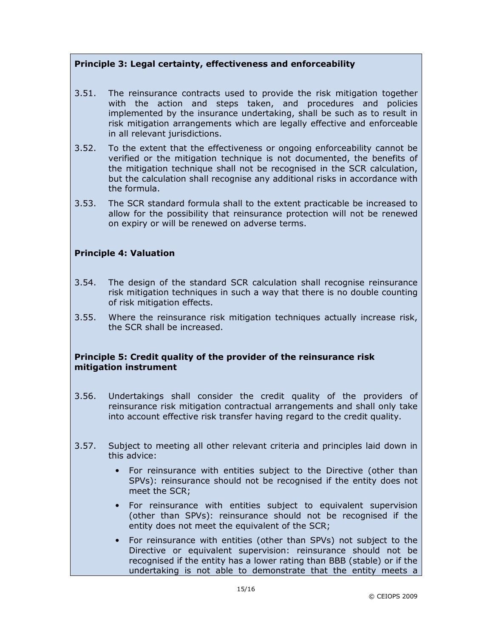#### Principle 3: Legal certainty, effectiveness and enforceability

- 3.51. The reinsurance contracts used to provide the risk mitigation together with the action and steps taken, and procedures and policies implemented by the insurance undertaking, shall be such as to result in risk mitigation arrangements which are legally effective and enforceable in all relevant jurisdictions.
- 3.52. To the extent that the effectiveness or ongoing enforceability cannot be verified or the mitigation technique is not documented, the benefits of the mitigation technique shall not be recognised in the SCR calculation, but the calculation shall recognise any additional risks in accordance with the formula.
- 3.53. The SCR standard formula shall to the extent practicable be increased to allow for the possibility that reinsurance protection will not be renewed on expiry or will be renewed on adverse terms.

#### Principle 4: Valuation

- 3.54. The design of the standard SCR calculation shall recognise reinsurance risk mitigation techniques in such a way that there is no double counting of risk mitigation effects.
- 3.55. Where the reinsurance risk mitigation techniques actually increase risk, the SCR shall be increased.

#### Principle 5: Credit quality of the provider of the reinsurance risk mitigation instrument

- 3.56. Undertakings shall consider the credit quality of the providers of reinsurance risk mitigation contractual arrangements and shall only take into account effective risk transfer having regard to the credit quality.
- 3.57. Subject to meeting all other relevant criteria and principles laid down in this advice:
	- For reinsurance with entities subject to the Directive (other than SPVs): reinsurance should not be recognised if the entity does not meet the SCR;
	- For reinsurance with entities subject to equivalent supervision (other than SPVs): reinsurance should not be recognised if the entity does not meet the equivalent of the SCR;
	- For reinsurance with entities (other than SPVs) not subject to the Directive or equivalent supervision: reinsurance should not be recognised if the entity has a lower rating than BBB (stable) or if the undertaking is not able to demonstrate that the entity meets a